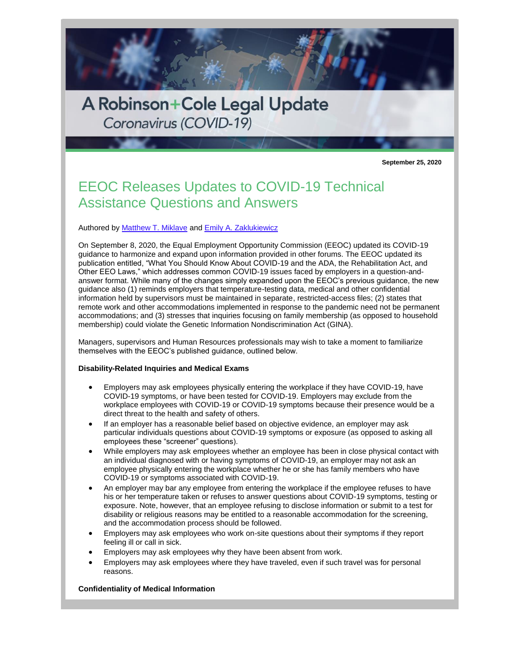

**September 25, 2020**

# EEOC Releases Updates to COVID-19 Technical Assistance Questions and Answers

# Authored by [Matthew T. Miklave](http://www.rc.com/people/MatthewTMiklave.cfm) and [Emily A. Zaklukiewicz](http://www.rc.com/people/EmilyAZaklukiewicz.cfm)

On September 8, 2020, the Equal Employment Opportunity Commission (EEOC) updated its COVID-19 guidance to harmonize and expand upon information provided in other forums. The EEOC updated its publication entitled, "What You Should Know About COVID-19 and the ADA, the Rehabilitation Act, and Other EEO Laws," which addresses common COVID-19 issues faced by employers in a question-andanswer format. While many of the changes simply expanded upon the EEOC's previous guidance, the new guidance also (1) reminds employers that temperature-testing data, medical and other confidential information held by supervisors must be maintained in separate, restricted-access files; (2) states that remote work and other accommodations implemented in response to the pandemic need not be permanent accommodations; and (3) stresses that inquiries focusing on family membership (as opposed to household membership) could violate the Genetic Information Nondiscrimination Act (GINA).

Managers, supervisors and Human Resources professionals may wish to take a moment to familiarize themselves with the EEOC's published guidance, outlined below.

### **Disability-Related Inquiries and Medical Exams**

- Employers may ask employees physically entering the workplace if they have COVID-19, have COVID-19 symptoms, or have been tested for COVID-19. Employers may exclude from the workplace employees with COVID-19 or COVID-19 symptoms because their presence would be a direct threat to the health and safety of others.
- If an employer has a reasonable belief based on objective evidence, an employer may ask particular individuals questions about COVID-19 symptoms or exposure (as opposed to asking all employees these "screener" questions).
- While employers may ask employees whether an employee has been in close physical contact with an individual diagnosed with or having symptoms of COVID-19, an employer may not ask an employee physically entering the workplace whether he or she has family members who have COVID-19 or symptoms associated with COVID-19.
- An employer may bar any employee from entering the workplace if the employee refuses to have his or her temperature taken or refuses to answer questions about COVID-19 symptoms, testing or exposure. Note, however, that an employee refusing to disclose information or submit to a test for disability or religious reasons may be entitled to a reasonable accommodation for the screening, and the accommodation process should be followed.
- Employers may ask employees who work on-site questions about their symptoms if they report feeling ill or call in sick.
- Employers may ask employees why they have been absent from work.
- Employers may ask employees where they have traveled, even if such travel was for personal reasons.

# **Confidentiality of Medical Information**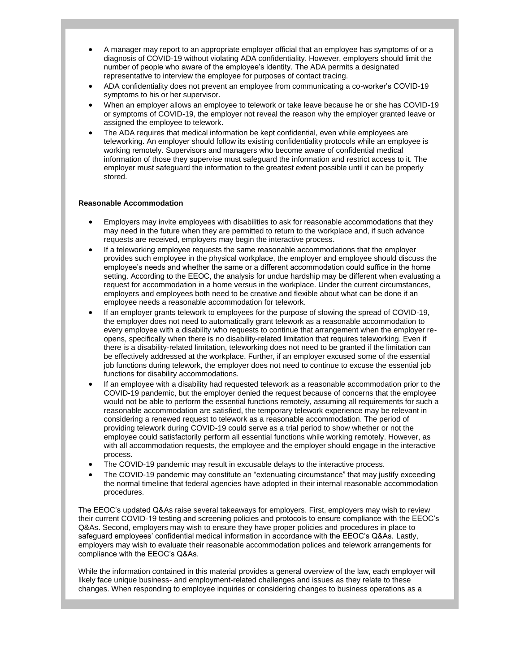- A manager may report to an appropriate employer official that an employee has symptoms of or a diagnosis of COVID-19 without violating ADA confidentiality. However, employers should limit the number of people who aware of the employee's identity. The ADA permits a designated representative to interview the employee for purposes of contact tracing.
- ADA confidentiality does not prevent an employee from communicating a co-worker's COVID-19 symptoms to his or her supervisor.
- When an employer allows an employee to telework or take leave because he or she has COVID-19 or symptoms of COVID-19, the employer not reveal the reason why the employer granted leave or assigned the employee to telework.
- The ADA requires that medical information be kept confidential, even while employees are teleworking. An employer should follow its existing confidentiality protocols while an employee is working remotely. Supervisors and managers who become aware of confidential medical information of those they supervise must safeguard the information and restrict access to it. The employer must safeguard the information to the greatest extent possible until it can be properly stored.

#### **Reasonable Accommodation**

- Employers may invite employees with disabilities to ask for reasonable accommodations that they may need in the future when they are permitted to return to the workplace and, if such advance requests are received, employers may begin the interactive process.
- If a teleworking employee requests the same reasonable accommodations that the employer provides such employee in the physical workplace, the employer and employee should discuss the employee's needs and whether the same or a different accommodation could suffice in the home setting. According to the EEOC, the analysis for undue hardship may be different when evaluating a request for accommodation in a home versus in the workplace. Under the current circumstances, employers and employees both need to be creative and flexible about what can be done if an employee needs a reasonable accommodation for telework.
- If an employer grants telework to employees for the purpose of slowing the spread of COVID-19, the employer does not need to automatically grant telework as a reasonable accommodation to every employee with a disability who requests to continue that arrangement when the employer reopens, specifically when there is no disability-related limitation that requires teleworking. Even if there is a disability-related limitation, teleworking does not need to be granted if the limitation can be effectively addressed at the workplace. Further, if an employer excused some of the essential job functions during telework, the employer does not need to continue to excuse the essential job functions for disability accommodations.
- If an employee with a disability had requested telework as a reasonable accommodation prior to the COVID-19 pandemic, but the employer denied the request because of concerns that the employee would not be able to perform the essential functions remotely, assuming all requirements for such a reasonable accommodation are satisfied, the temporary telework experience may be relevant in considering a renewed request to telework as a reasonable accommodation. The period of providing telework during COVID-19 could serve as a trial period to show whether or not the employee could satisfactorily perform all essential functions while working remotely. However, as with all accommodation requests, the employee and the employer should engage in the interactive process.
- The COVID-19 pandemic may result in excusable delays to the interactive process.
- The COVID-19 pandemic may constitute an "extenuating circumstance" that may justify exceeding the normal timeline that federal agencies have adopted in their internal reasonable accommodation procedures.

The EEOC's updated Q&As raise several takeaways for employers. First, employers may wish to review their current COVID-19 testing and screening policies and protocols to ensure compliance with the EEOC's Q&As. Second, employers may wish to ensure they have proper policies and procedures in place to safeguard employees' confidential medical information in accordance with the EEOC's Q&As. Lastly, employers may wish to evaluate their reasonable accommodation polices and telework arrangements for compliance with the EEOC's Q&As.

While the information contained in this material provides a general overview of the law, each employer will likely face unique business- and employment-related challenges and issues as they relate to these changes. When responding to employee inquiries or considering changes to business operations as a